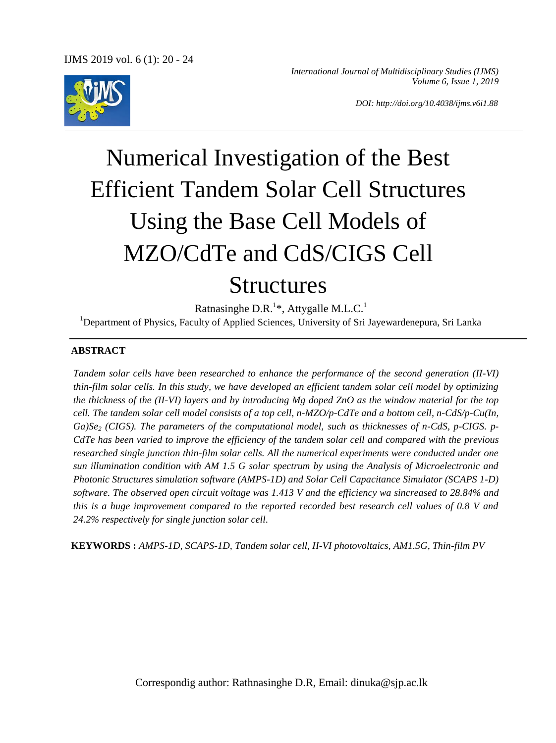*International Journal of Multidisciplinary Studies (IJMS) Volume 6, Issue 1, 2019*

*DOI: http://doi.org/10.4038/ijms.v6i1.88*

# Numerical Investigation of the Best Efficient Tandem Solar Cell Structures Using the Base Cell Models of MZO/CdTe and CdS/CIGS Cell Structures

Ratnasinghe D.R.<sup>1\*</sup>, Attygalle M.L.C.<sup>1</sup> <sup>1</sup>Department of Physics, Faculty of Applied Sciences, University of Sri Jayewardenepura, Sri Lanka

#### **ABSTRACT**

*Tandem solar cells have been researched to enhance the performance of the second generation (II-VI) thin-film solar cells. In this study, we have developed an efficient tandem solar cell model by optimizing the thickness of the (II-VI) layers and by introducing Mg doped ZnO as the window material for the top cell. The tandem solar cell model consists of a top cell, n-MZO/p-CdTe and a bottom cell, n-CdS/p-Cu(In, Ga)Se<sup>2</sup> (CIGS). The parameters of the computational model, such as thicknesses of n-CdS, p-CIGS. p-CdTe has been varied to improve the efficiency of the tandem solar cell and compared with the previous researched single junction thin-film solar cells. All the numerical experiments were conducted under one sun illumination condition with AM 1.5 G solar spectrum by using the Analysis of Microelectronic and Photonic Structures simulation software (AMPS-1D) and Solar Cell Capacitance Simulator (SCAPS 1-D) software. The observed open circuit voltage was 1.413 V and the efficiency wa sincreased to 28.84% and this is a huge improvement compared to the reported recorded best research cell values of 0.8 V and 24.2% respectively for single junction solar cell.*

**KEYWORDS :** *AMPS-1D, SCAPS-1D, Tandem solar cell, II-VI photovoltaics, AM1.5G, Thin-film PV*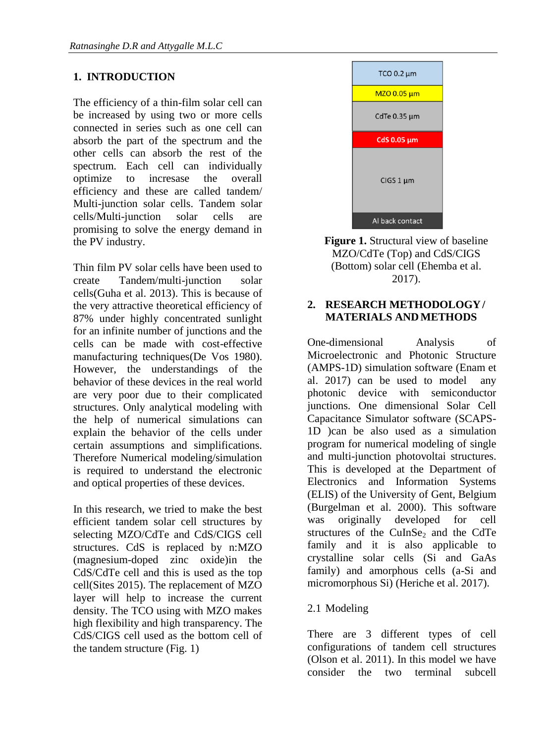# **1. INTRODUCTION**

The efficiency of a thin-film solar cell can be increased by using two or more cells connected in series such as one cell can absorb the part of the spectrum and the other cells can absorb the rest of the spectrum. Each cell can individually optimize to incresase the overall efficiency and these are called tandem/ Multi-junction solar cells. Tandem solar cells/Multi-junction solar cells are promising to solve the energy demand in the PV industry.

Thin film PV solar cells have been used to create Tandem/multi-junction solar cells[\(Guha et al. 2013\)](#page-4-0). This is because of the very attractive theoretical efficiency of 87% under highly concentrated sunlight for an infinite number of junctions and the cells can be made with cost-effective manufacturing techniques[\(De Vos 1980\)](#page-4-1). However, the understandings of the behavior of these devices in the real world are very poor due to their complicated structures. Only analytical modeling with the help of numerical simulations can explain the behavior of the cells under certain assumptions and simplifications. Therefore Numerical modeling/simulation is required to understand the electronic and optical properties of these devices.

In this research, we tried to make the best efficient tandem solar cell structures by selecting MZO/CdTe and CdS/CIGS cell structures. CdS is replaced by n:MZO (magnesium-doped zinc oxide)in the CdS/CdTe cell and this is used as the top cell[\(Sites 2015\)](#page-4-2). The replacement of MZO layer will help to increase the current density. The TCO using with MZO makes high flexibility and high transparency. The CdS/CIGS cell used as the bottom cell of the tandem structure (Fig. 1)



**Figure 1.** Structural view of baseline MZO/CdTe (Top) and CdS/CIGS (Bottom) solar cell [\(Ehemba et al.](#page-4-3)  [2017\)](#page-4-3).

#### **2. RESEARCH METHODOLOGY/ MATERIALS ANDMETHODS**

One-dimensional Analysis of Microelectronic and Photonic Structure (AMPS-1D) simulation software [\(Enam et](#page-4-4)  [al. 2017\)](#page-4-4) can be used to model any photonic device with semiconductor junctions. One dimensional Solar Cell Capacitance Simulator software (SCAPS-1D )can be also used as a simulation program for numerical modeling of single and multi-junction photovoltai structures. This is developed at the Department of Electronics and Information Systems (ELIS) of the University of Gent, Belgium [\(Burgelman et al. 2000\)](#page-3-0). This software was originally developed for cell structures of the CuInSe<sub>2</sub> and the CdTe family and it is also applicable to crystalline solar cells (Si and GaAs family) and amorphous cells (a-Si and micromorphous Si) [\(Heriche et al. 2017\)](#page-4-5).

## 2.1 Modeling

There are 3 different types of cell configurations of tandem cell structures [\(Olson et al. 2011\)](#page-4-6). In this model we have consider the two terminal subcell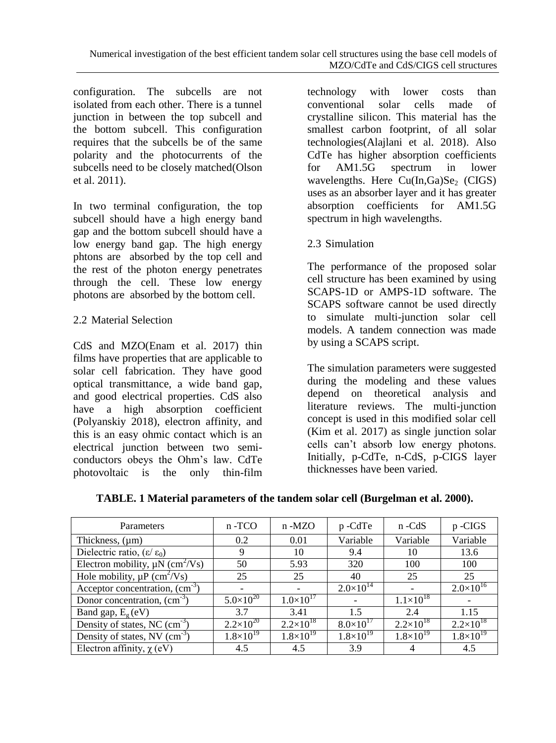configuration. The subcells are not isolated from each other. There is a tunnel junction in between the top subcell and the bottom subcell. This configuration requires that the subcells be of the same polarity and the photocurrents of the subcells need to be closely matched[\(Olson](#page-4-6)  [et al. 2011\)](#page-4-6).

In two terminal configuration, the top subcell should have a high energy band gap and the bottom subcell should have a low energy band gap. The high energy phtons are absorbed by the top cell and the rest of the photon energy penetrates through the cell. These low energy photons are absorbed by the bottom cell.

# 2.2 Material Selection

CdS and MZO[\(Enam et al. 2017\)](#page-4-4) thin films have properties that are applicable to solar cell fabrication. They have good optical transmittance, a wide band gap, and good electrical properties. CdS also have a high absorption coefficient [\(Polyanskiy 2018\)](#page-4-7), electron affinity, and this is an easy ohmic contact which is an electrical junction between two semiconductors obeys the Ohm's law. CdTe photovoltaic is the only thin-film technology with lower costs than conventional solar cells made of crystalline silicon. This material has the smallest carbon footprint, of all solar technologies[\(Alajlani et al. 2018\)](#page-3-1). Also CdTe has higher absorption coefficients for AM1.5G spectrum in lower wavelengths. Here  $Cu(In,Ga)Se<sub>2</sub>$  (CIGS) uses as an absorber layer and it has greater absorption coefficients for AM1.5G spectrum in high wavelengths.

2.3 Simulation

The performance of the proposed solar cell structure has been examined by using SCAPS-1D or AMPS-1D software. The SCAPS software cannot be used directly to simulate multi-junction solar cell models. A tandem connection was made by using a SCAPS script.

The simulation parameters were suggested during the modeling and these values depend on theoretical analysis and literature reviews. The multi-junction concept is used in this modified solar cell [\(Kim et al. 2017\)](#page-4-8) as single junction solar cells can't absorb low energy photons. Initially, p-CdTe, n-CdS, p-CIGS layer thicknesses have been varied.

| Parameters                                       | n-TCO              | $n - MZO$          | p-CdTe             | n -CdS               | p-CIGS               |
|--------------------------------------------------|--------------------|--------------------|--------------------|----------------------|----------------------|
| Thickness, $(\mu m)$                             | 0.2                | 0.01               | Variable           | Variable             | Variable             |
| Dielectric ratio, $(\epsilon/\epsilon_0)$        | 9                  | 10                 | 9.4                | 10                   | 13.6                 |
| Electron mobility, $\mu$ N (cm <sup>2</sup> /Vs) | 50                 | 5.93               | 320                | 100                  | 100                  |
| Hole mobility, $\mu P$ (cm <sup>2</sup> /Vs)     | 25                 | 25                 | 40                 | 25                   | 25                   |
| Acceptor concentration, $\text{(cm}^{-3})$       |                    |                    | $2.0\times10^{14}$ |                      | $2.0\times10^{16}$   |
| Donor concentration, $\text{(cm}^{-3})$          | $5.0\times10^{20}$ | $1.0\times10^{17}$ |                    | $1.1\times10^{18}$   |                      |
| Band gap, $E_g$ (eV)                             | 3.7                | 3.41               | 1.5                | 2.4                  | 1.15                 |
| Density of states, NC $(cm-3)$                   | $2.2\times10^{20}$ | $2.2\times10^{18}$ | $8.0\times10^{17}$ | $2.2 \times 10^{18}$ | $2.2\times10^{18}$   |
| Density of states, NV $(cm-3)$                   | $1.8\times10^{19}$ | $1.8\times10^{19}$ | $1.8\times10^{19}$ | $1.8\times10^{19}$   | $1.8 \times 10^{19}$ |
| Electron affinity, $\chi$ (eV)                   | 4.5                | 4.5                | 3.9                |                      | 4.5                  |

**TABLE. 1 Material parameters of the tandem solar cell [\(Burgelman et al. 2000\)](#page-3-0).**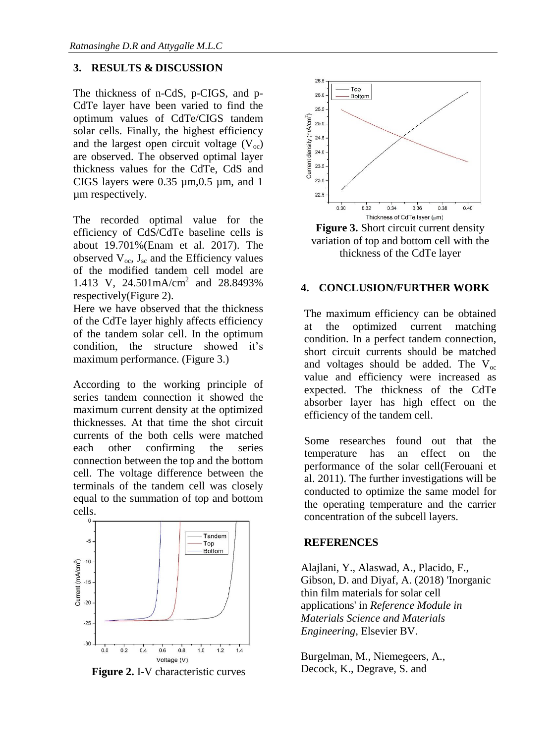## **3. RESULTS & DISCUSSION**

The thickness of n-CdS, p-CIGS, and p-CdTe layer have been varied to find the optimum values of CdTe/CIGS tandem solar cells. Finally, the highest efficiency and the largest open circuit voltage  $(V<sub>oc</sub>)$ are observed. The observed optimal layer thickness values for the CdTe, CdS and CIGS layers were  $0.35 \mu m$ ,  $0.5 \mu m$ , and 1 µm respectively.

The recorded optimal value for the efficiency of CdS/CdTe baseline cells is about 19.701%[\(Enam et al. 2017\)](#page-4-4). The observed  $V_{oc}$ ,  $J_{sc}$  and the Efficiency values of the modified tandem cell model are 1.413 V, 24.501mA/cm<sup>2</sup> and 28.8493% respectively(Figure 2).

Here we have observed that the thickness of the CdTe layer highly affects efficiency of the tandem solar cell. In the optimum condition, the structure showed it's maximum performance. (Figure 3.)

According to the working principle of series tandem connection it showed the maximum current density at the optimized thicknesses. At that time the shot circuit currents of the both cells were matched each other confirming the series connection between the top and the bottom cell. The voltage difference between the terminals of the tandem cell was closely equal to the summation of top and bottom cells.



**Figure 2.** I-V characteristic curves



**Figure 3.** Short circuit current density variation of top and bottom cell with the thickness of the CdTe layer

#### **4. CONCLUSION/FURTHER WORK**

The maximum efficiency can be obtained at the optimized current matching condition. In a perfect tandem connection, short circuit currents should be matched and voltages should be added. The  $V_{\text{oc}}$ value and efficiency were increased as expected. The thickness of the CdTe absorber layer has high effect on the efficiency of the tandem cell.

Some researches found out that the temperature has an effect on the performance of the solar cell[\(Ferouani et](#page-4-9)  [al. 2011\)](#page-4-9). The further investigations will be conducted to optimize the same model for the operating temperature and the carrier concentration of the subcell layers.

#### **REFERENCES**

<span id="page-3-1"></span>Alajlani, Y., Alaswad, A., Placido, F., Gibson, D. and Diyaf, A. (2018) 'Inorganic thin film materials for solar cell applications' in *Reference Module in Materials Science and Materials Engineering*, Elsevier BV.

<span id="page-3-0"></span>Burgelman, M., Niemegeers, A., Decock, K., Degrave, S. and